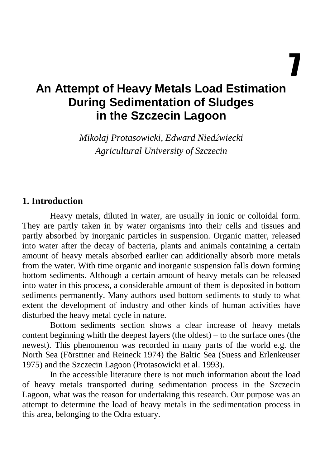7

# **An Attempt of Heavy Metals Load Estimation During Sedimentation of Sludges in the Szczecin Lagoon**

*Mikołaj Protasowicki, Edward Nied*ź*wiecki Agricultural University of Szczecin* 

#### **1. Introduction**

Heavy metals, diluted in water, are usually in ionic or colloidal form. They are partly taken in by water organisms into their cells and tissues and partly absorbed by inorganic particles in suspension. Organic matter, released into water after the decay of bacteria, plants and animals containing a certain amount of heavy metals absorbed earlier can additionally absorb more metals from the water. With time organic and inorganic suspension falls down forming bottom sediments. Although a certain amount of heavy metals can be released into water in this process, a considerable amount of them is deposited in bottom sediments permanently. Many authors used bottom sediments to study to what extent the development of industry and other kinds of human activities have disturbed the heavy metal cycle in nature.

Bottom sediments section shows a clear increase of heavy metals content beginning whith the deepest layers (the oldest) – to the surface ones (the newest). This phenomenon was recorded in many parts of the world e.g. the North Sea (Försttner and Reineck 1974) the Baltic Sea (Suess and Erlenkeuser 1975) and the Szczecin Lagoon (Protasowicki et al. 1993).

In the accessible literature there is not much information about the load of heavy metals transported during sedimentation process in the Szczecin Lagoon, what was the reason for undertaking this research. Our purpose was an attempt to determine the load of heavy metals in the sedimentation process in this area, belonging to the Odra estuary.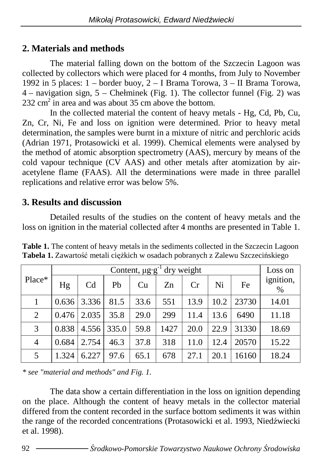#### **2. Materials and methods**

The material falling down on the bottom of the Szczecin Lagoon was collected by collectors which were placed for 4 months, from July to November 1992 in 5 places:  $1 -$ border buoy,  $2 -$ I Brama Torowa,  $3 -$ II Brama Torowa, 4 – navigation sign, 5 – Chełminek (Fig. 1). The collector funnel (Fig. 2) was  $232 \text{ cm}^2$  in area and was about 35 cm above the bottom.

In the collected material the content of heavy metals - Hg, Cd, Pb, Cu, Zn, Cr, Ni, Fe and loss on ignition were determined. Prior to heavy metal determination, the samples were burnt in a mixture of nitric and perchloric acids (Adrian 1971, Protasowicki et al. 1999). Chemical elements were analysed by the method of atomic absorption spectrometry (AAS), mercury by means of the cold vapour technique  $(CV$  AAS) and other metals after atomization by airacetylene flame (FAAS). All the determinations were made in three parallel replications and relative error was below 5%.

#### **3. Results and discussion**

Detailed results of the studies on the content of heavy metals and the loss on ignition in the material collected after 4 months are presented in Table 1.

| Place*         |       | Loss on        |       |      |      |      |      |       |                |
|----------------|-------|----------------|-------|------|------|------|------|-------|----------------|
|                | Hg    | C <sub>d</sub> | Pb    | Cu   | Zn   | Cr   | Ni   | Fe    | ignition,<br>% |
|                | 0.636 | 3.336          | 81.5  | 33.6 | 551  | 13.9 | 10.2 | 23730 | 14.01          |
| 2              | 0.476 | 2.035          | 35.8  | 29.0 | 299  | 11.4 | 13.6 | 6490  | 11.18          |
| 3              | 0.838 | 4.556          | 335.0 | 59.8 | 1427 | 20.0 | 22.9 | 31330 | 18.69          |
| $\overline{4}$ | 0.684 | 2.754          | 46.3  | 37.8 | 318  | 11.0 | 12.4 | 20570 | 15.22          |
| 5              | 1.324 | 6.227          | 97.6  | 65.1 | 678  | 27.1 | 20.1 | 16160 | 18.24          |

**Table 1.** The content of heavy metals in the sediments collected in the Szczecin Lagoon Tabela 1. Zawartość metali ciężkich w osadach pobranych z Zalewu Szczecińskiego

*\* see "material and methods" and Fig. 1.* 

The data show a certain differentiation in the loss on ignition depending on the place. Although the content of heavy metals in the collector material differed from the content recorded in the surface bottom sediments it was within the range of the recorded concentrations (Protasowicki et al. 1993, Niedźwiecki et al. 1998).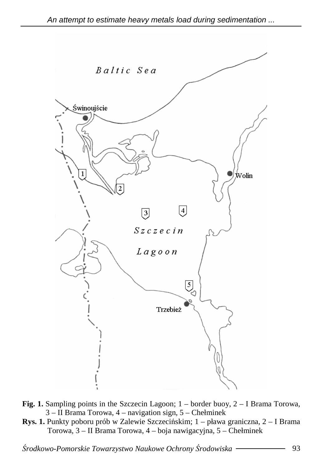

- **Fig. 1.** Sampling points in the Szczecin Lagoon; 1 border buoy, 2 I Brama Torowa, 3 – II Brama Torowa, 4 – navigation sign, 5 – Chełminek
- **Rys. 1.** Punkty poboru prób w Zalewie Szczecińskim; 1 pława graniczna, 2 I Brama Torowa, 3 – II Brama Torowa, 4 – boja nawigacyjna, 5 – Chełminek

Ś*rodkowo-Pomorskie Towarzystwo Naukowe Ochrony* Ś*rodowiska* 93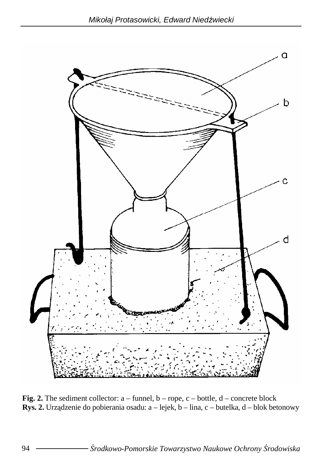

**Fig. 2.** The sediment collector: a – funnel, b – rope, c – bottle, d – concrete block **Rys. 2.** Urządzenie do pobierania osadu: a – lejek, b – lina, c – butelka, d – blok betonowy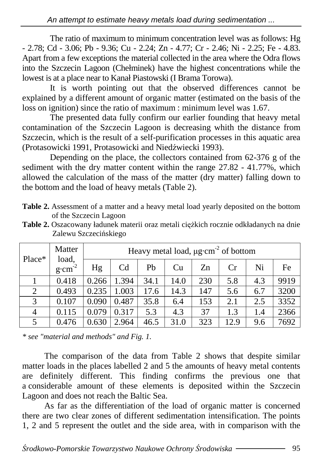The ratio of maximum to minimum concentration level was as follows: Hg - 2.78; Cd - 3.06; Pb - 9.36; Cu - 2.24; Zn - 4.77; Cr - 2.46; Ni - 2.25; Fe - 4.83. Apart from a few exceptions the material collected in the area where the Odra flows into the Szczecin Lagoon (Chełminek) have the highest concentrations while the lowest is at a place near to Kanał Piastowski (I Brama Torowa).

It is worth pointing out that the observed differences cannot be explained by a different amount of organic matter (estimated on the basis of the loss on ignition) since the ratio of maximum : minimum level was 1.67.

The presented data fully confirm our earlier founding that heavy metal contamination of the Szczecin Lagoon is decreasing whith the distance from Szczecin, which is the result of a self-purification processes in this aquatic area (Protasowicki 1991, Protasowicki and Niedźwiecki 1993).

Depending on the place, the collectors contained from 62-376 g of the sediment with the dry matter content within the range 27.82 - 41.77%, which allowed the calculation of the mass of the matter (dry matter) falling down to the bottom and the load of heavy metals (Table 2).

- **Table 2.** Assessment of a matter and a heavy metal load yearly deposited on the bottom of the Szczecin Lagoon
- Table 2. Oszacowany ładunek materii oraz metali ciężkich rocznie odkładanych na dnie Zalewu Szczecińskiego

| Place*         | Matter<br>load,<br>$g \cdot cm^{-2}$ | Heavy metal load, µg·cm <sup>-2</sup> of bottom |       |      |      |     |      |     |      |  |  |
|----------------|--------------------------------------|-------------------------------------------------|-------|------|------|-----|------|-----|------|--|--|
|                |                                      | Hg                                              | Cd    | Pb   | Cu   | Zn  | Cr   | Ni  | Fe   |  |  |
|                | 0.418                                | 0.266                                           | 1.394 | 34.1 | 14.0 | 230 | 5.8  | 4.3 | 9919 |  |  |
| $\overline{2}$ | 0.493                                | 0.235                                           | 1.003 | 17.6 | 14.3 | 147 | 5.6  | 6.7 | 3200 |  |  |
| 3              | 0.107                                | 0.090                                           | 0.487 | 35.8 | 6.4  | 153 | 2.1  | 2.5 | 3352 |  |  |
| 4              | 0.115                                | 0.079                                           | 0.317 | 5.3  | 4.3  | 37  | 1.3  | 1.4 | 2366 |  |  |
| 5              | 0.476                                | 0.630                                           | 2.964 | 46.5 | 31.0 | 323 | 12.9 | 9.6 | 7692 |  |  |

*\* see "material and methods" and Fig. 1.* 

The comparison of the data from Table 2 shows that despite similar matter loads in the places labelled 2 and 5 the amounts of heavy metal contents are definitely different. This finding confirms the previous one that a considerable amount of these elements is deposited within the Szczecin Lagoon and does not reach the Baltic Sea.

As far as the differentiation of the load of organic matter is concerned there are two clear zones of different sedimentation intensification. The points 1, 2 and 5 represent the outlet and the side area, with in comparison with the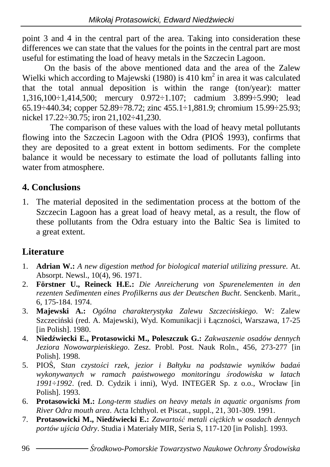point 3 and 4 in the central part of the area. Taking into consideration these differences we can state that the values for the points in the central part are most useful for estimating the load of heavy metals in the Szczecin Lagoon.

On the basis of the above mentioned data and the area of the Zalew Wielki which according to Majewski (1980) is 410  $km<sup>2</sup>$  in area it was calculated that the total annual deposition is within the range (ton/year): matter 1,316,100÷1,414,500; mercury 0.972÷1.107; cadmium 3.899÷5.990; lead 65.19÷440.34; copper 52.89÷78.72; zinc 455.1÷1,881.9; chromium 15.99÷25.93; nickel 17.22÷30.75; iron 21,102÷41,230.

The comparison of these values with the load of heavy metal pollutants flowing into the Szczecin Lagoon with the Odra (PIOŚ 1993), confirms that they are deposited to a great extent in bottom sediments. For the complete balance it would be necessary to estimate the load of pollutants falling into water from atmosphere.

#### **4. Conclusions**

1. The material deposited in the sedimentation process at the bottom of the Szczecin Lagoon has a great load of heavy metal, as a result, the flow of these pollutants from the Odra estuary into the Baltic Sea is limited to a great extent.

### **Literature**

- 1. **Adrian W.:** *A new digestion method for biological material utilizing pressure.* At. Absorpt. Newsl., 10(4), 96. 1971.
- 2. **Förstner U., Reineck H.E.:** *Die Anreicherung von Spurenelementen in den rezenten Sedimenten eines Profilkerns aus der Deutschen Bucht*. Senckenb. Marit., 6, 175-184. 1974.
- 3. **Majewski A.:** *Ogólna charakterystyka Zalewu Szczeci*ń*skiego*. W: Zalew Szczeciński (red. A. Majewski), Wyd. Komunikacji i Łączności, Warszawa, 17-25 [in Polish]. 1980.
- 4. **Nied**ź**wiecki E., Protasowicki M., Poleszczuk G.:** *Zakwaszenie osadów dennych Jeziora Nowowarpie*ń*skiego*. Zesz. Probl. Post. Nauk Roln., 456, 273-277 [in Polish]. 1998.
- 5. PIOŚ, S*tan czysto*ś*ci rzek, jezior i Bałtyku na podstawie wyników bada*ń *wykonywanych w ramach pa*ń*stwowego monitoringu* ś*rodowiska w latach 1991÷1992*. (red. D. Cydzik i inni), Wyd. INTEGER Sp. z o.o., Wrocław [in Polish]. 1993.
- 6. **Protasowicki M.:** *Long-term studies on heavy metals in aquatic organisms from River Odra mouth area*. Acta Ichthyol. et Piscat., suppl., 21, 301-309. 1991.
- 7. **Protasowicki M., Niedźwiecki E.:** Zawartość metali ciężkich w osadach dennych *portów uj*ś*cia Odry*. Studia i Materiały MIR, Seria S, 117-120 [in Polish]. 1993.